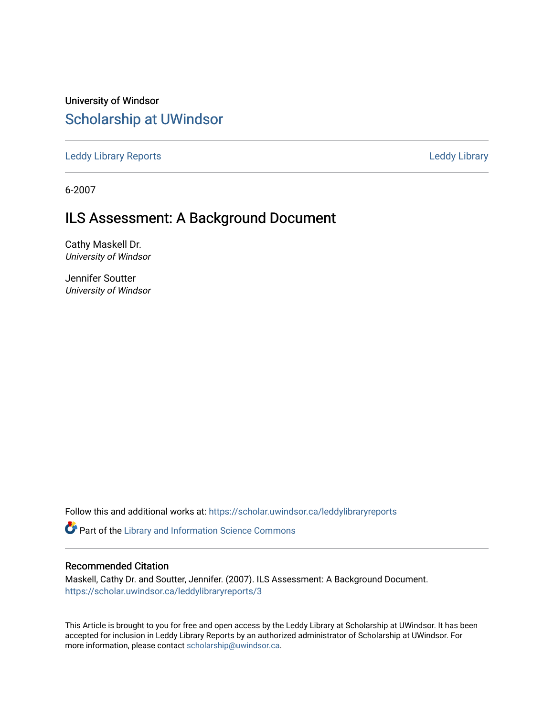University of Windsor [Scholarship at UWindsor](https://scholar.uwindsor.ca/) 

[Leddy Library Reports](https://scholar.uwindsor.ca/leddylibraryreports) [Leddy Library](https://scholar.uwindsor.ca/leddy) 

6-2007

# ILS Assessment: A Background Document

Cathy Maskell Dr. University of Windsor

Jennifer Soutter University of Windsor

Follow this and additional works at: [https://scholar.uwindsor.ca/leddylibraryreports](https://scholar.uwindsor.ca/leddylibraryreports?utm_source=scholar.uwindsor.ca%2Fleddylibraryreports%2F3&utm_medium=PDF&utm_campaign=PDFCoverPages) 

Part of the [Library and Information Science Commons](http://network.bepress.com/hgg/discipline/1018?utm_source=scholar.uwindsor.ca%2Fleddylibraryreports%2F3&utm_medium=PDF&utm_campaign=PDFCoverPages) 

#### Recommended Citation

Maskell, Cathy Dr. and Soutter, Jennifer. (2007). ILS Assessment: A Background Document. [https://scholar.uwindsor.ca/leddylibraryreports/3](https://scholar.uwindsor.ca/leddylibraryreports/3?utm_source=scholar.uwindsor.ca%2Fleddylibraryreports%2F3&utm_medium=PDF&utm_campaign=PDFCoverPages) 

This Article is brought to you for free and open access by the Leddy Library at Scholarship at UWindsor. It has been accepted for inclusion in Leddy Library Reports by an authorized administrator of Scholarship at UWindsor. For more information, please contact [scholarship@uwindsor.ca](mailto:scholarship@uwindsor.ca).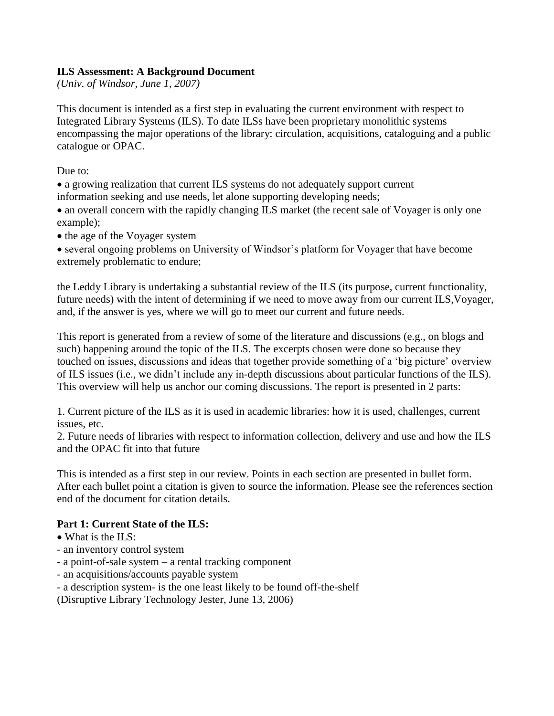## **ILS Assessment: A Background Document**

*(Univ. of Windsor, June 1, 2007)*

This document is intended as a first step in evaluating the current environment with respect to Integrated Library Systems (ILS). To date ILSs have been proprietary monolithic systems encompassing the major operations of the library: circulation, acquisitions, cataloguing and a public catalogue or OPAC.

Due to:

a growing realization that current ILS systems do not adequately support current information seeking and use needs, let alone supporting developing needs;

• an overall concern with the rapidly changing ILS market (the recent sale of Voyager is only one example);

• the age of the Voyager system

several ongoing problems on University of Windsor's platform for Voyager that have become extremely problematic to endure;

the Leddy Library is undertaking a substantial review of the ILS (its purpose, current functionality, future needs) with the intent of determining if we need to move away from our current ILS,Voyager, and, if the answer is yes, where we will go to meet our current and future needs.

This report is generated from a review of some of the literature and discussions (e.g., on blogs and such) happening around the topic of the ILS. The excerpts chosen were done so because they touched on issues, discussions and ideas that together provide something of a 'big picture' overview of ILS issues (i.e., we didn't include any in-depth discussions about particular functions of the ILS). This overview will help us anchor our coming discussions. The report is presented in 2 parts:

1. Current picture of the ILS as it is used in academic libraries: how it is used, challenges, current issues, etc.

2. Future needs of libraries with respect to information collection, delivery and use and how the ILS and the OPAC fit into that future

This is intended as a first step in our review. Points in each section are presented in bullet form. After each bullet point a citation is given to source the information. Please see the references section end of the document for citation details.

# **Part 1: Current State of the ILS:**

- What is the ILS:
- an inventory control system
- a point-of-sale system a rental tracking component
- an acquisitions/accounts payable system
- a description system- is the one least likely to be found off-the-shelf

(Disruptive Library Technology Jester, June 13, 2006)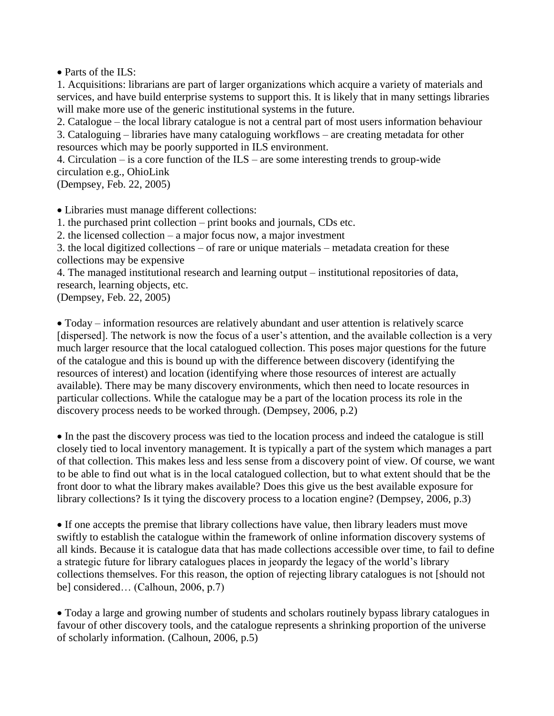• Parts of the ILS:

1. Acquisitions: librarians are part of larger organizations which acquire a variety of materials and services, and have build enterprise systems to support this. It is likely that in many settings libraries will make more use of the generic institutional systems in the future.

2. Catalogue – the local library catalogue is not a central part of most users information behaviour 3. Cataloguing – libraries have many cataloguing workflows – are creating metadata for other resources which may be poorly supported in ILS environment.

4. Circulation – is a core function of the ILS – are some interesting trends to group-wide circulation e.g., OhioLink

(Dempsey, Feb. 22, 2005)

Libraries must manage different collections:

1. the purchased print collection – print books and journals, CDs etc.

2. the licensed collection – a major focus now, a major investment

3. the local digitized collections – of rare or unique materials – metadata creation for these collections may be expensive

4. The managed institutional research and learning output – institutional repositories of data, research, learning objects, etc.

(Dempsey, Feb. 22, 2005)

Today – information resources are relatively abundant and user attention is relatively scarce [dispersed]. The network is now the focus of a user's attention, and the available collection is a very much larger resource that the local catalogued collection. This poses major questions for the future of the catalogue and this is bound up with the difference between discovery (identifying the resources of interest) and location (identifying where those resources of interest are actually available). There may be many discovery environments, which then need to locate resources in particular collections. While the catalogue may be a part of the location process its role in the discovery process needs to be worked through. (Dempsey, 2006, p.2)

In the past the discovery process was tied to the location process and indeed the catalogue is still closely tied to local inventory management. It is typically a part of the system which manages a part of that collection. This makes less and less sense from a discovery point of view. Of course, we want to be able to find out what is in the local catalogued collection, but to what extent should that be the front door to what the library makes available? Does this give us the best available exposure for library collections? Is it tying the discovery process to a location engine? (Dempsey, 2006, p.3)

If one accepts the premise that library collections have value, then library leaders must move swiftly to establish the catalogue within the framework of online information discovery systems of all kinds. Because it is catalogue data that has made collections accessible over time, to fail to define a strategic future for library catalogues places in jeopardy the legacy of the world's library collections themselves. For this reason, the option of rejecting library catalogues is not [should not be] considered… (Calhoun, 2006, p.7)

Today a large and growing number of students and scholars routinely bypass library catalogues in favour of other discovery tools, and the catalogue represents a shrinking proportion of the universe of scholarly information. (Calhoun, 2006, p.5)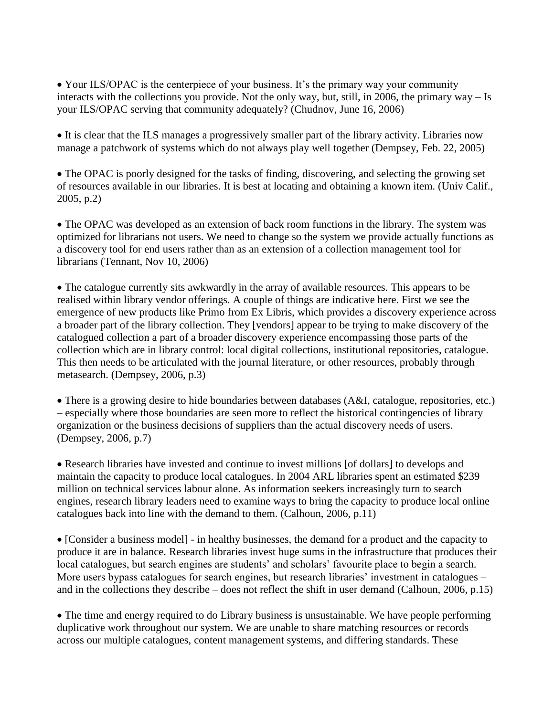• Your ILS/OPAC is the centerpiece of your business. It's the primary way your community interacts with the collections you provide. Not the only way, but, still, in 2006, the primary way – Is your ILS/OPAC serving that community adequately? (Chudnov, June 16, 2006)

It is clear that the ILS manages a progressively smaller part of the library activity. Libraries now manage a patchwork of systems which do not always play well together (Dempsey, Feb. 22, 2005)

The OPAC is poorly designed for the tasks of finding, discovering, and selecting the growing set of resources available in our libraries. It is best at locating and obtaining a known item. (Univ Calif., 2005, p.2)

The OPAC was developed as an extension of back room functions in the library. The system was optimized for librarians not users. We need to change so the system we provide actually functions as a discovery tool for end users rather than as an extension of a collection management tool for librarians (Tennant, Nov 10, 2006)

The catalogue currently sits awkwardly in the array of available resources. This appears to be realised within library vendor offerings. A couple of things are indicative here. First we see the emergence of new products like Primo from Ex Libris, which provides a discovery experience across a broader part of the library collection. They [vendors] appear to be trying to make discovery of the catalogued collection a part of a broader discovery experience encompassing those parts of the collection which are in library control: local digital collections, institutional repositories, catalogue. This then needs to be articulated with the journal literature, or other resources, probably through metasearch. (Dempsey, 2006, p.3)

There is a growing desire to hide boundaries between databases (A&I, catalogue, repositories, etc.) – especially where those boundaries are seen more to reflect the historical contingencies of library organization or the business decisions of suppliers than the actual discovery needs of users. (Dempsey, 2006, p.7)

Research libraries have invested and continue to invest millions [of dollars] to develops and maintain the capacity to produce local catalogues. In 2004 ARL libraries spent an estimated \$239 million on technical services labour alone. As information seekers increasingly turn to search engines, research library leaders need to examine ways to bring the capacity to produce local online catalogues back into line with the demand to them. (Calhoun, 2006, p.11)

• [Consider a business model] - in healthy businesses, the demand for a product and the capacity to produce it are in balance. Research libraries invest huge sums in the infrastructure that produces their local catalogues, but search engines are students' and scholars' favourite place to begin a search. More users bypass catalogues for search engines, but research libraries' investment in catalogues – and in the collections they describe – does not reflect the shift in user demand (Calhoun, 2006, p.15)

• The time and energy required to do Library business is unsustainable. We have people performing duplicative work throughout our system. We are unable to share matching resources or records across our multiple catalogues, content management systems, and differing standards. These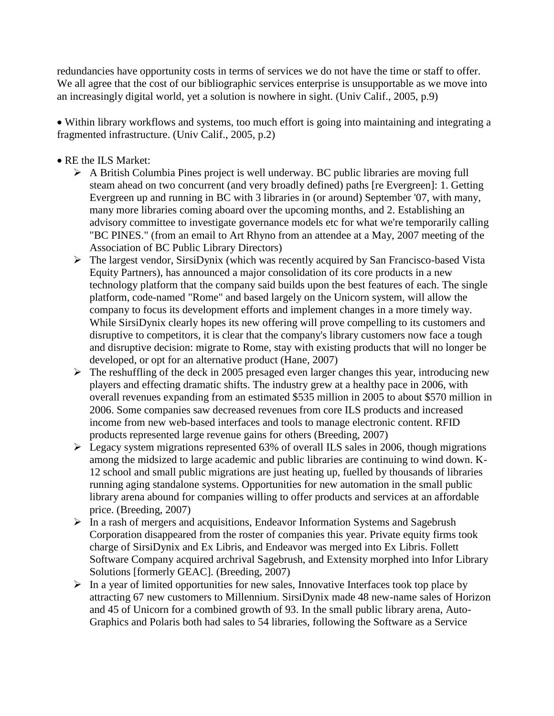redundancies have opportunity costs in terms of services we do not have the time or staff to offer. We all agree that the cost of our bibliographic services enterprise is unsupportable as we move into an increasingly digital world, yet a solution is nowhere in sight. (Univ Calif., 2005, p.9)

Within library workflows and systems, too much effort is going into maintaining and integrating a fragmented infrastructure. (Univ Calif., 2005, p.2)

# • RE the ILS Market:

- $\triangleright$  A British Columbia Pines project is well underway. BC public libraries are moving full steam ahead on two concurrent (and very broadly defined) paths [re Evergreen]: 1. Getting Evergreen up and running in BC with 3 libraries in (or around) September '07, with many, many more libraries coming aboard over the upcoming months, and 2. Establishing an advisory committee to investigate governance models etc for what we're temporarily calling "BC PINES." (from an email to Art Rhyno from an attendee at a May, 2007 meeting of the Association of BC Public Library Directors)
- The largest vendor, SirsiDynix (which was recently acquired by San Francisco-based Vista Equity Partners), has announced a major consolidation of its core products in a new technology platform that the company said builds upon the best features of each. The single platform, code-named "Rome" and based largely on the Unicorn system, will allow the company to focus its development efforts and implement changes in a more timely way. While SirsiDynix clearly hopes its new offering will prove compelling to its customers and disruptive to competitors, it is clear that the company's library customers now face a tough and disruptive decision: migrate to Rome, stay with existing products that will no longer be developed, or opt for an alternative product (Hane, 2007)
- $\triangleright$  The reshuffling of the deck in 2005 presaged even larger changes this year, introducing new players and effecting dramatic shifts. The industry grew at a healthy pace in 2006, with overall revenues expanding from an estimated \$535 million in 2005 to about \$570 million in 2006. Some companies saw decreased revenues from core ILS products and increased income from new web-based interfaces and tools to manage electronic content. RFID products represented large revenue gains for others (Breeding, 2007)
- $\triangleright$  Legacy system migrations represented 63% of overall ILS sales in 2006, though migrations among the midsized to large academic and public libraries are continuing to wind down. K-12 school and small public migrations are just heating up, fuelled by thousands of libraries running aging standalone systems. Opportunities for new automation in the small public library arena abound for companies willing to offer products and services at an affordable price. (Breeding, 2007)
- $\triangleright$  In a rash of mergers and acquisitions, Endeavor Information Systems and Sagebrush Corporation disappeared from the roster of companies this year. Private equity firms took charge of SirsiDynix and Ex Libris, and Endeavor was merged into Ex Libris. Follett Software Company acquired archrival Sagebrush, and Extensity morphed into Infor Library Solutions [formerly GEAC]. (Breeding, 2007)
- $\triangleright$  In a year of limited opportunities for new sales, Innovative Interfaces took top place by attracting 67 new customers to Millennium. SirsiDynix made 48 new-name sales of Horizon and 45 of Unicorn for a combined growth of 93. In the small public library arena, Auto-Graphics and Polaris both had sales to 54 libraries, following the Software as a Service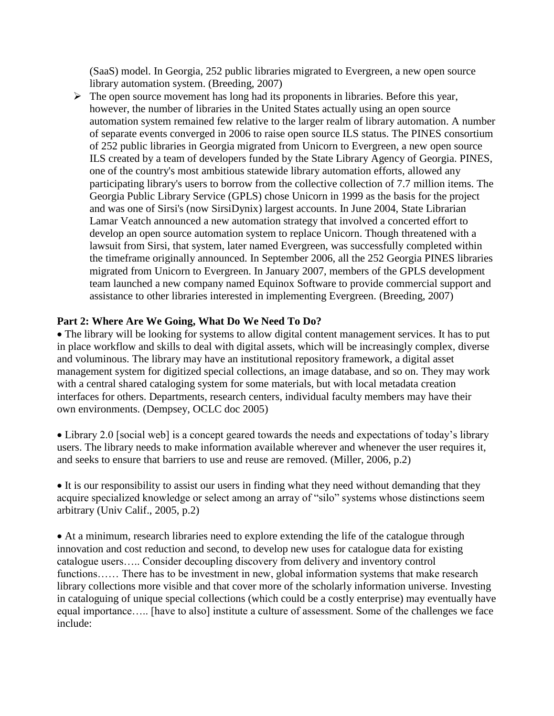(SaaS) model. In Georgia, 252 public libraries migrated to Evergreen, a new open source library automation system. (Breeding, 2007)

 $\triangleright$  The open source movement has long had its proponents in libraries. Before this year, however, the number of libraries in the United States actually using an open source automation system remained few relative to the larger realm of library automation. A number of separate events converged in 2006 to raise open source ILS status. The PINES consortium of 252 public libraries in Georgia migrated from Unicorn to Evergreen, a new open source ILS created by a team of developers funded by the State Library Agency of Georgia. PINES, one of the country's most ambitious statewide library automation efforts, allowed any participating library's users to borrow from the collective collection of 7.7 million items. The Georgia Public Library Service (GPLS) chose Unicorn in 1999 as the basis for the project and was one of Sirsi's (now SirsiDynix) largest accounts. In June 2004, State Librarian Lamar Veatch announced a new automation strategy that involved a concerted effort to develop an open source automation system to replace Unicorn. Though threatened with a lawsuit from Sirsi, that system, later named Evergreen, was successfully completed within the timeframe originally announced. In September 2006, all the 252 Georgia PINES libraries migrated from Unicorn to Evergreen. In January 2007, members of the GPLS development team launched a new company named Equinox Software to provide commercial support and assistance to other libraries interested in implementing Evergreen. (Breeding, 2007)

#### **Part 2: Where Are We Going, What Do We Need To Do?**

• The library will be looking for systems to allow digital content management services. It has to put in place workflow and skills to deal with digital assets, which will be increasingly complex, diverse and voluminous. The library may have an institutional repository framework, a digital asset management system for digitized special collections, an image database, and so on. They may work with a central shared cataloging system for some materials, but with local metadata creation interfaces for others. Departments, research centers, individual faculty members may have their own environments. (Dempsey, OCLC doc 2005)

• Library 2.0 [social web] is a concept geared towards the needs and expectations of today's library users. The library needs to make information available wherever and whenever the user requires it, and seeks to ensure that barriers to use and reuse are removed. (Miller, 2006, p.2)

• It is our responsibility to assist our users in finding what they need without demanding that they acquire specialized knowledge or select among an array of "silo" systems whose distinctions seem arbitrary (Univ Calif., 2005, p.2)

At a minimum, research libraries need to explore extending the life of the catalogue through innovation and cost reduction and second, to develop new uses for catalogue data for existing catalogue users….. Consider decoupling discovery from delivery and inventory control functions…… There has to be investment in new, global information systems that make research library collections more visible and that cover more of the scholarly information universe. Investing in cataloguing of unique special collections (which could be a costly enterprise) may eventually have equal importance….. [have to also] institute a culture of assessment. Some of the challenges we face include: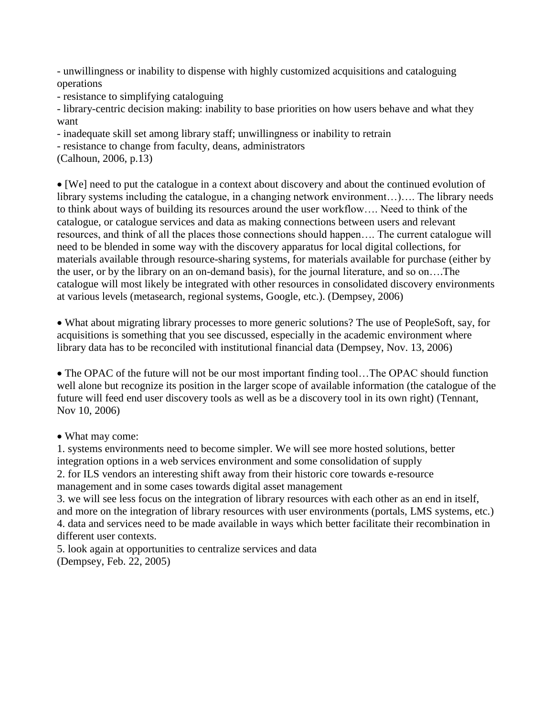- unwillingness or inability to dispense with highly customized acquisitions and cataloguing operations

- resistance to simplifying cataloguing

- library-centric decision making: inability to base priorities on how users behave and what they want

- inadequate skill set among library staff; unwillingness or inability to retrain
- resistance to change from faculty, deans, administrators
- (Calhoun, 2006, p.13)

[We] need to put the catalogue in a context about discovery and about the continued evolution of library systems including the catalogue, in a changing network environment…)…. The library needs to think about ways of building its resources around the user workflow…. Need to think of the catalogue, or catalogue services and data as making connections between users and relevant resources, and think of all the places those connections should happen…. The current catalogue will need to be blended in some way with the discovery apparatus for local digital collections, for materials available through resource-sharing systems, for materials available for purchase (either by the user, or by the library on an on-demand basis), for the journal literature, and so on….The catalogue will most likely be integrated with other resources in consolidated discovery environments at various levels (metasearch, regional systems, Google, etc.). (Dempsey, 2006)

What about migrating library processes to more generic solutions? The use of PeopleSoft, say, for acquisitions is something that you see discussed, especially in the academic environment where library data has to be reconciled with institutional financial data (Dempsey, Nov. 13, 2006)

• The OPAC of the future will not be our most important finding tool... The OPAC should function well alone but recognize its position in the larger scope of available information (the catalogue of the future will feed end user discovery tools as well as be a discovery tool in its own right) (Tennant, Nov 10, 2006)

• What may come:

1. systems environments need to become simpler. We will see more hosted solutions, better integration options in a web services environment and some consolidation of supply 2. for ILS vendors an interesting shift away from their historic core towards e-resource management and in some cases towards digital asset management

3. we will see less focus on the integration of library resources with each other as an end in itself, and more on the integration of library resources with user environments (portals, LMS systems, etc.) 4. data and services need to be made available in ways which better facilitate their recombination in different user contexts.

5. look again at opportunities to centralize services and data (Dempsey, Feb. 22, 2005)